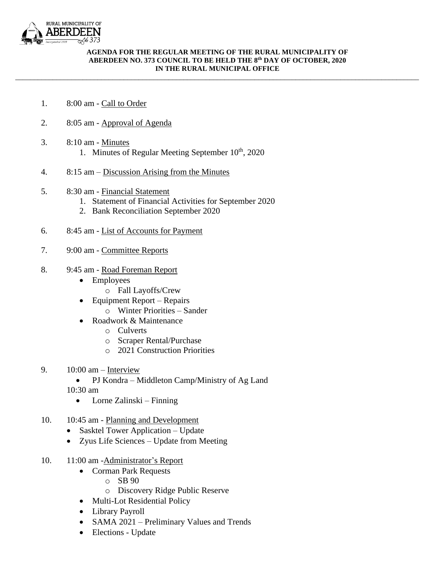

## **AGENDA FOR THE REGULAR MEETING OF THE RURAL MUNICIPALITY OF ABERDEEN NO. 373 COUNCIL TO BE HELD THE 8 th DAY OF OCTOBER, 2020 IN THE RURAL MUNICIPAL OFFICE**

\_\_\_\_\_\_\_\_\_\_\_\_\_\_\_\_\_\_\_\_\_\_\_\_\_\_\_\_\_\_\_\_\_\_\_\_\_\_\_\_\_\_\_\_\_\_\_\_\_\_\_\_\_\_\_\_\_\_\_\_\_\_\_\_\_\_\_\_\_\_\_\_\_\_\_\_\_\_\_\_\_\_\_\_\_\_\_\_\_\_\_\_\_\_\_\_\_\_\_\_\_\_\_\_\_\_\_\_

- 1. 8:00 am Call to Order
- 2. 8:05 am Approval of Agenda
- 3. 8:10 am Minutes
	- 1. Minutes of Regular Meeting September  $10<sup>th</sup>$ , 2020
- 4. 8:15 am Discussion Arising from the Minutes
- 5. 8:30 am Financial Statement
	- 1. Statement of Financial Activities for September 2020
	- 2. Bank Reconciliation September 2020
- 6. 8:45 am List of Accounts for Payment
- 7. 9:00 am Committee Reports
- 8. 9:45 am Road Foreman Report
	- Employees
		- o Fall Layoffs/Crew
	- Equipment Report Repairs o Winter Priorities – Sander
	- Roadwork & Maintenance
		- o Culverts
		- o Scraper Rental/Purchase
		- o 2021 Construction Priorities
- 9.  $10:00$  am Interview
	- PJ Kondra Middleton Camp/Ministry of Ag Land 10:30 am
		- Lorne Zalinski Finning
- 10. 10:45 am Planning and Development
	- Sasktel Tower Application Update
	- Zyus Life Sciences Update from Meeting
- 10. 11:00 am -Administrator's Report
	- Corman Park Requests
		- o SB 90
		- o Discovery Ridge Public Reserve
	- Multi-Lot Residential Policy
	- Library Payroll
	- SAMA 2021 Preliminary Values and Trends
	- Elections Update